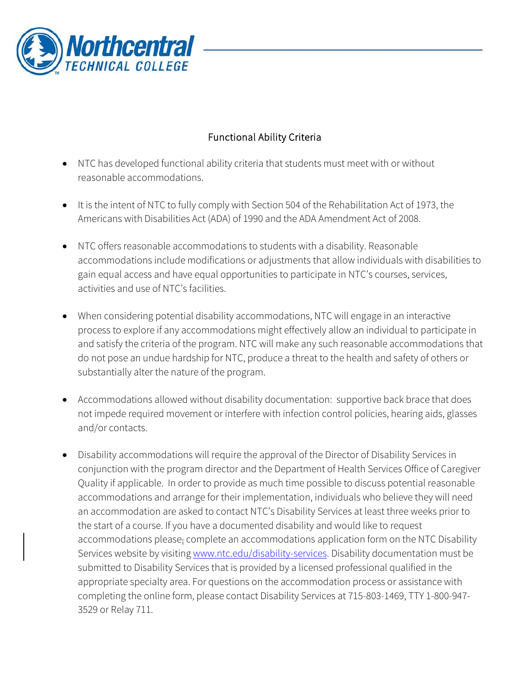

## Functional Ability Criteria

- NTC has developed functional ability criteria that students must meet with or without reasonable accommodations.
- It is the intent of NTC to fully comply with Section 504 of the Rehabilitation Act of 1973, the Americans with Disabilities Act (ADA) of 1990 and the ADA Amendment Act of 2008.
- NTC offers reasonable accommodations to students with a disability. Reasonable accommodations include modifications or adjustments that allow individuals with disabilities to gain equal access and have equal opportunities to participate in NTC's courses, services, activities and use of NTC's facilities.
- When considering potential disability accommodations, NTC will engage in an interactive process to explore if any accommodations might effectively allow an individual to participate in and satisfy the criteria of the program. NTC will make any such reasonable accommodations that do not pose an undue hardship for NTC, produce a threat to the health and safety of others or substantially alter the nature of the program.
- Accommodations allowed without disability documentation: supportive back brace that does not impede required movement or interfere with infection control policies, hearing aids, glasses and/or contacts.
- Disability accommodations will require the approval of the Director of Disability Services in conjunction with the program director and the Department of Health Services Office of Caregiver Quality if applicable. In order to provide as much time possible to discuss potential reasonable accommodations and arrange for their implementation, individuals who believe they will need an accommodation are asked to contact NTC's Disability Services at least three weeks prior to the start of a course. If you have a documented disability and would like to request accommodations please-complete an accommodations application form on the NTC Disability Services website by visiting [www.ntc.edu/disability-services.](http://www.ntc.edu/disability-services) Disability documentation must be submitted to Disability Services that is provided by a licensed professional qualified in the appropriate specialty area. For questions on the accommodation process or assistance with completing the online form, please contact Disability Services at 715-803-1469, TTY 1-800-947- 3529 or Relay 711.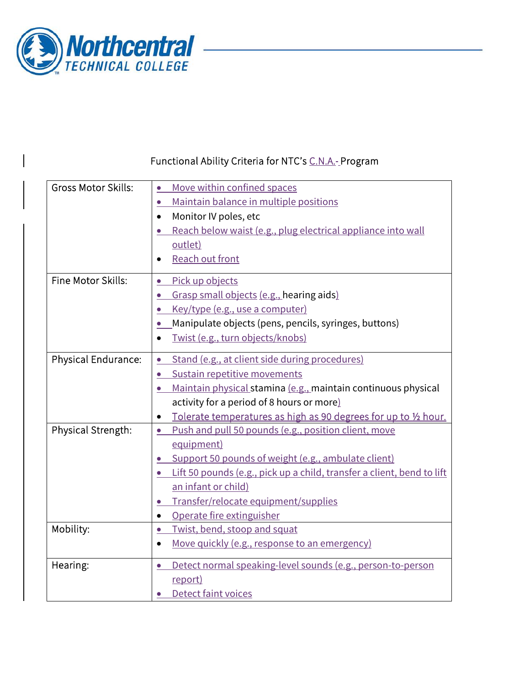

## Functional Ability Criteria for NTC's C.N.A.-Program

| <b>Gross Motor Skills:</b> | Move within confined spaces                                                  |
|----------------------------|------------------------------------------------------------------------------|
|                            | Maintain balance in multiple positions<br>$\bullet$                          |
|                            | Monitor IV poles, etc<br>$\bullet$                                           |
|                            | Reach below waist (e.g., plug electrical appliance into wall                 |
|                            | outlet)                                                                      |
|                            | Reach out front                                                              |
| Fine Motor Skills:         | Pick up objects<br>$\bullet$                                                 |
|                            | Grasp small objects (e.g., hearing aids)<br>$\bullet$                        |
|                            | Key/type (e.g., use a computer)                                              |
|                            | Manipulate objects (pens, pencils, syringes, buttons)<br>$\bullet$           |
|                            | Twist (e.g., turn objects/knobs)                                             |
| Physical Endurance:        | Stand (e.g., at client side during procedures)                               |
|                            | Sustain repetitive movements<br>$\bullet$                                    |
|                            | Maintain physical stamina (e.g., maintain continuous physical                |
|                            | activity for a period of 8 hours or more)                                    |
|                            | Tolerate temperatures as high as 90 degrees for up to 1/2 hour.<br>$\bullet$ |
| Physical Strength:         | Push and pull 50 pounds (e.g., position client, move<br>$\bullet$            |
|                            | equipment)                                                                   |
|                            | Support 50 pounds of weight (e.g., ambulate client)                          |
|                            | Lift 50 pounds (e.g., pick up a child, transfer a client, bend to lift       |
|                            | an infant or child)                                                          |
|                            | Transfer/relocate equipment/supplies<br>$\bullet$                            |
|                            | Operate fire extinguisher<br>$\bullet$                                       |
| Mobility:                  | Twist, bend, stoop and squat<br>$\bullet$                                    |
|                            | Move quickly (e.g., response to an emergency)<br>$\bullet$                   |
| Hearing:                   | Detect normal speaking-level sounds (e.g., person-to-person                  |
|                            | report)                                                                      |
|                            | <b>Detect faint voices</b>                                                   |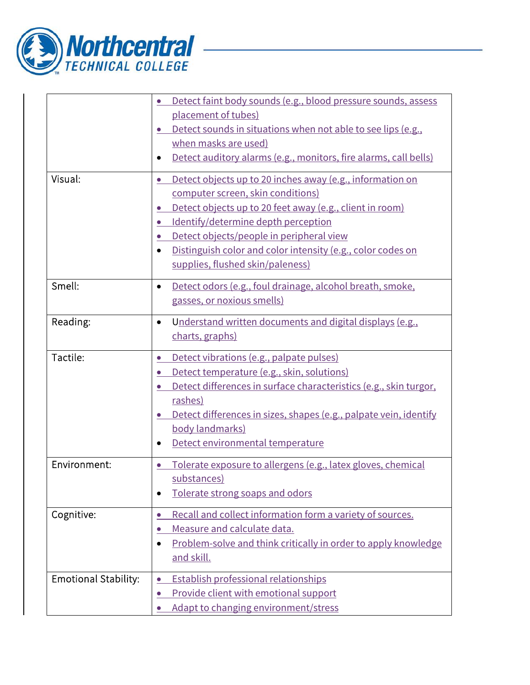

|                             | Detect faint body sounds (e.g., blood pressure sounds, assess               |
|-----------------------------|-----------------------------------------------------------------------------|
|                             | placement of tubes)                                                         |
|                             | Detect sounds in situations when not able to see lips (e.g.,                |
|                             | when masks are used)                                                        |
|                             | Detect auditory alarms (e.g., monitors, fire alarms, call bells)            |
| Visual:                     | Detect objects up to 20 inches away (e.g., information on<br>$\bullet$      |
|                             | computer screen, skin conditions)                                           |
|                             | Detect objects up to 20 feet away (e.g., client in room)                    |
|                             | Identify/determine depth perception                                         |
|                             | Detect objects/people in peripheral view                                    |
|                             | Distinguish color and color intensity (e.g., color codes on                 |
|                             | supplies, flushed skin/paleness)                                            |
| Smell:                      | Detect odors (e.g., foul drainage, alcohol breath, smoke,<br>$\bullet$      |
|                             | gasses, or noxious smells)                                                  |
| Reading:                    | Understand written documents and digital displays (e.g.,<br>$\bullet$       |
|                             | charts, graphs)                                                             |
|                             |                                                                             |
| Tactile:                    | Detect vibrations (e.g., palpate pulses)                                    |
|                             | Detect temperature (e.g., skin, solutions)                                  |
|                             | Detect differences in surface characteristics (e.g., skin turgor,           |
|                             | rashes)                                                                     |
|                             | Detect differences in sizes, shapes (e.g., palpate vein, identify           |
|                             | body landmarks)                                                             |
|                             | Detect environmental temperature                                            |
| Environment:                | Tolerate exposure to allergens (e.g., latex gloves, chemical                |
|                             | substances)                                                                 |
|                             | Tolerate strong soaps and odors                                             |
| Cognitive:                  | Recall and collect information form a variety of sources.<br>$\bullet$      |
|                             | Measure and calculate data.                                                 |
|                             | Problem-solve and think critically in order to apply knowledge<br>$\bullet$ |
|                             | and skill.                                                                  |
| <b>Emotional Stability:</b> | Establish professional relationships                                        |
|                             | Provide client with emotional support                                       |
|                             | Adapt to changing environment/stress                                        |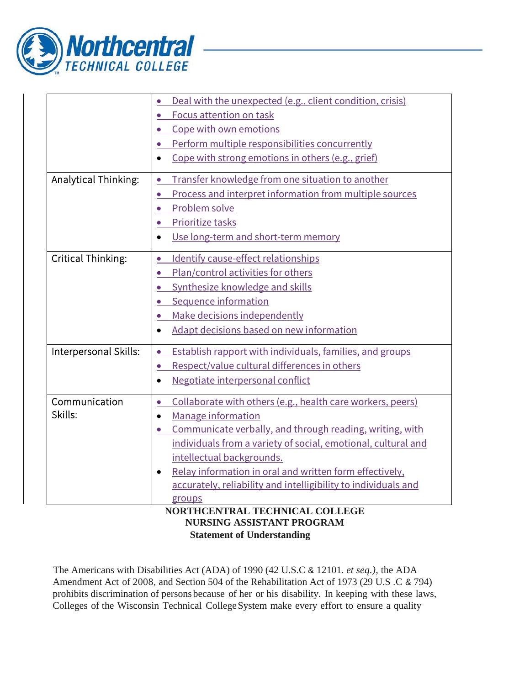

|                       | Deal with the unexpected (e.g., client condition, crisis)               |
|-----------------------|-------------------------------------------------------------------------|
|                       | Focus attention on task<br>$\bullet$                                    |
|                       | Cope with own emotions                                                  |
|                       | Perform multiple responsibilities concurrently<br>$\bullet$             |
|                       | Cope with strong emotions in others (e.g., grief)<br>$\bullet$          |
| Analytical Thinking:  | Transfer knowledge from one situation to another<br>$\bullet$           |
|                       | Process and interpret information from multiple sources                 |
|                       | Problem solve<br>$\bullet$                                              |
|                       | Prioritize tasks                                                        |
|                       | Use long-term and short-term memory<br>$\bullet$                        |
| Critical Thinking:    | Identify cause-effect relationships<br>$\bullet$                        |
|                       | Plan/control activities for others<br>$\bullet$                         |
|                       | Synthesize knowledge and skills                                         |
|                       | Sequence information                                                    |
|                       | Make decisions independently<br>$\bullet$                               |
|                       | Adapt decisions based on new information<br>$\bullet$                   |
| Interpersonal Skills: | Establish rapport with individuals, families, and groups<br>$\bullet$   |
|                       | Respect/value cultural differences in others<br>$\bullet$               |
|                       | Negotiate interpersonal conflict<br>$\bullet$                           |
| Communication         | Collaborate with others (e.g., health care workers, peers)<br>$\bullet$ |
| Skills:               | Manage information<br>$\bullet$                                         |
|                       | Communicate verbally, and through reading, writing, with                |
|                       | individuals from a variety of social, emotional, cultural and           |
|                       | intellectual backgrounds.                                               |
|                       | Relay information in oral and written form effectively,<br>$\bullet$    |
|                       | accurately, reliability and intelligibility to individuals and          |
|                       | groups                                                                  |
|                       | NORTHCENTRAL TECHNICAL COLLEGE<br><b>NURSING ASSISTANT PROGRAM</b>      |

## **Statement of Understanding**

The Americans with Disabilities Act (ADA) of 1990 (42 U.S.C & 12101. *et seq.),* the ADA Amendment Act of 2008, and Section 504 of the Rehabilitation Act of 1973 (29 U.S .C & 794) prohibits discrimination of persons because of her or his disability. In keeping with these laws, Colleges of the Wisconsin Technical College System make every effort to ensure a quality